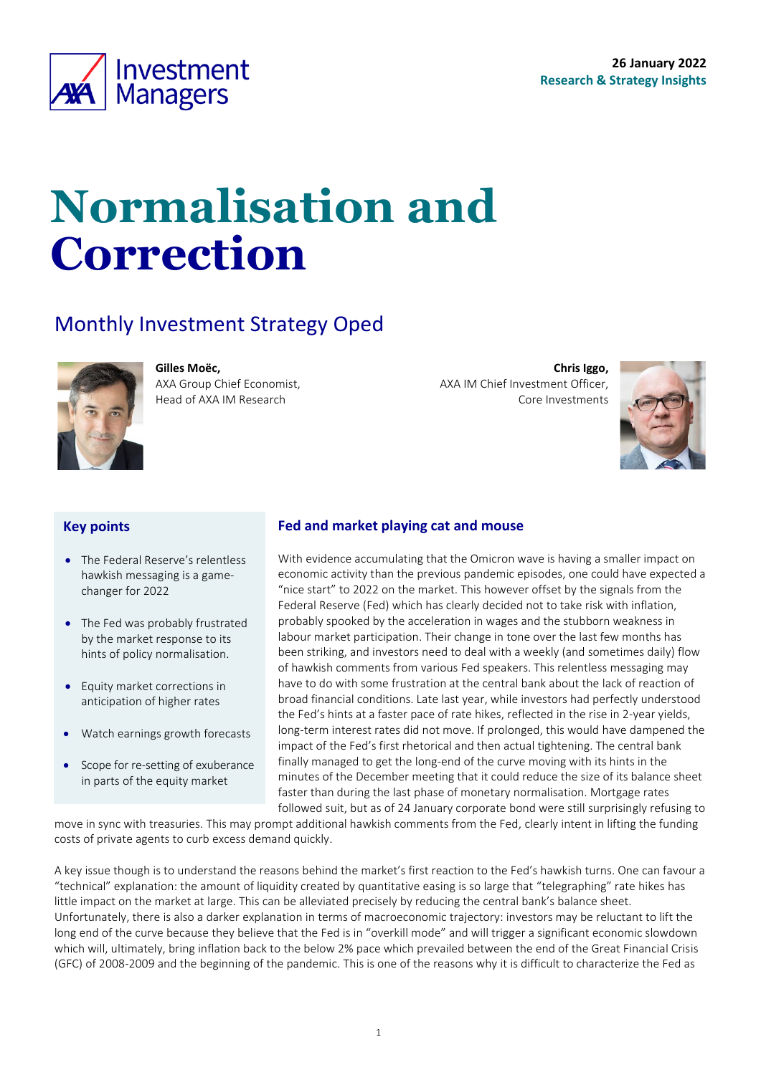<span id="page-0-0"></span>

# **Normalisation and Correction**

### Monthly Investment Strategy Oped

AXA Group Chief Economist, Head of AXA IM Research

**Gilles Moëc,**



**Key points**

#### • The Federal Reserve's relentless hawkish messaging is a gamechanger for 2022

- The Fed was probably frustrated by the market response to its hints of policy normalisation.
- Equity market corrections in anticipation of higher rates
- Watch earnings growth forecasts
- Scope for re-setting of exuberance in parts of the equity market

#### **Fed and market playing cat and mouse**

With evidence accumulating that the Omicron wave is having a smaller impact on economic activity than the previous pandemic episodes, one could have expected a "nice start" to 2022 on the market. This however offset by the signals from the Federal Reserve (Fed) which has clearly decided not to take risk with inflation, probably spooked by the acceleration in wages and the stubborn weakness in labour market participation. Their change in tone over the last few months has been striking, and investors need to deal with a weekly (and sometimes daily) flow of hawkish comments from various Fed speakers. This relentless messaging may have to do with some frustration at the central bank about the lack of reaction of broad financial conditions. Late last year, while investors had perfectly understood the Fed's hints at a faster pace of rate hikes, reflected in the rise in 2-year yields, long-term interest rates did not move. If prolonged, this would have dampened the impact of the Fed's first rhetorical and then actual tightening. The central bank finally managed to get the long-end of the curve moving with its hints in the minutes of the December meeting that it could reduce the size of its balance sheet faster than during the last phase of monetary normalisation. Mortgage rates followed suit, but as of 24 January corporate bond were still surprisingly refusing to

move in sync with treasuries. This may prompt additional hawkish comments from the Fed, clearly intent in lifting the funding costs of private agents to curb excess demand quickly.

A key issue though is to understand the reasons behind the market's first reaction to the Fed's hawkish turns. One can favour a "technical" explanation: the amount of liquidity created by quantitative easing is so large that "telegraphing" rate hikes has little impact on the market at large. This can be alleviated precisely by reducing the central bank's balance sheet. Unfortunately, there is also a darker explanation in terms of macroeconomic trajectory: investors may be reluctant to lift the long end of the curve because they believe that the Fed is in "overkill mode" and will trigger a significant economic slowdown which will, ultimately, bring inflation back to the below 2% pace which prevailed between the end of the Great Financial Crisis (GFC) of 2008-2009 and the beginning of the pandemic. This is one of the reasons why it is difficult to characterize the Fed as



**Chris Iggo,** 

Core Investments

AXA IM Chief Investment Officer,

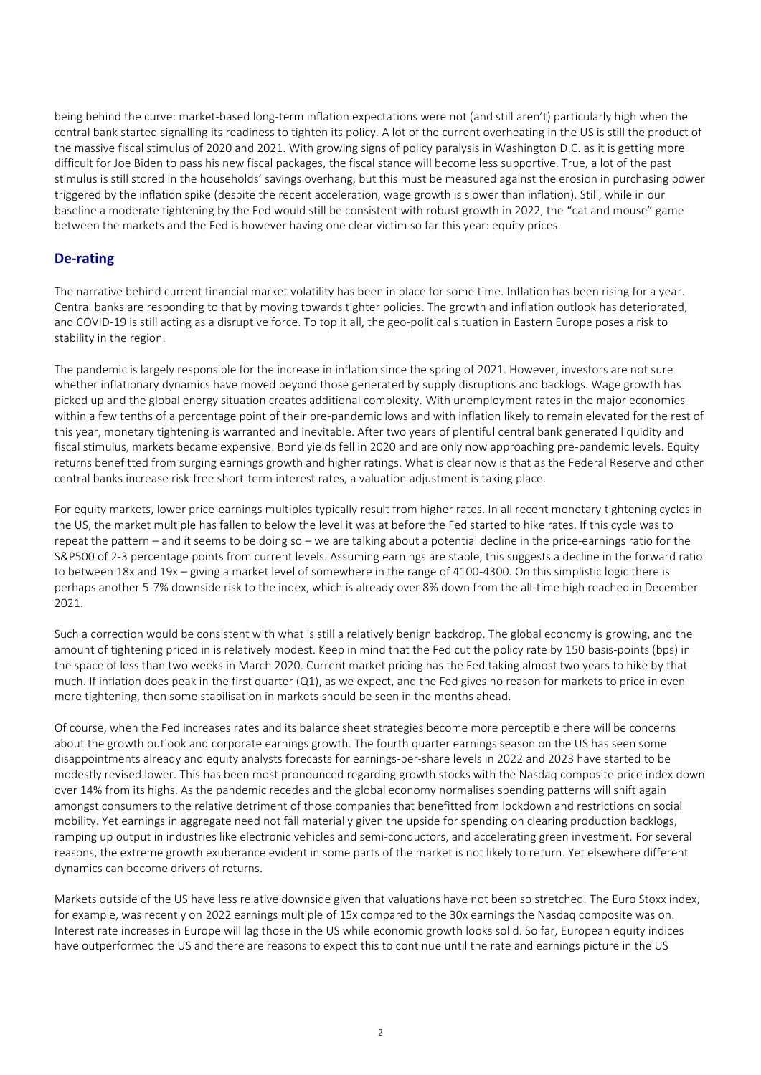being behind the curve: market-based long-term inflation expectations were not (and still aren't) particularly high when the central bank started signalling its readiness to tighten its policy. A lot of the current overheating in the US is still the product of the massive fiscal stimulus of 2020 and 2021. With growing signs of policy paralysis in Washington D.C. as it is getting more difficult for Joe Biden to pass his new fiscal packages, the fiscal stance will become less supportive. True, a lot of the past stimulus is still stored in the households' savings overhang, but this must be measured against the erosion in purchasing power triggered by the inflation spike (despite the recent acceleration, wage growth is slower than inflation). Still, while in our baseline a moderate tightening by the Fed would still be consistent with robust growth in 2022, the "cat and mouse" game between the markets and the Fed is however having one clear victim so far this year: equity prices.

#### **De-rating**

The narrative behind current financial market volatility has been in place for some time. Inflation has been rising for a year. Central banks are responding to that by moving towards tighter policies. The growth and inflation outlook has deteriorated, and COVID-19 is still acting as a disruptive force. To top it all, the geo-political situation in Eastern Europe poses a risk to stability in the region.

The pandemic is largely responsible for the increase in inflation since the spring of 2021. However, investors are not sure whether inflationary dynamics have moved beyond those generated by supply disruptions and backlogs. Wage growth has picked up and the global energy situation creates additional complexity. With unemployment rates in the major economies within a few tenths of a percentage point of their pre-pandemic lows and with inflation likely to remain elevated for the rest of this year, monetary tightening is warranted and inevitable. After two years of plentiful central bank generated liquidity and fiscal stimulus, markets became expensive. Bond yields fell in 2020 and are only now approaching pre-pandemic levels. Equity returns benefitted from surging earnings growth and higher ratings. What is clear now is that as the Federal Reserve and other central banks increase risk-free short-term interest rates, a valuation adjustment is taking place.

For equity markets, lower price-earnings multiples typically result from higher rates. In all recent monetary tightening cycles in the US, the market multiple has fallen to below the level it was at before the Fed started to hike rates. If this cycle was to repeat the pattern – and it seems to be doing so – we are talking about a potential decline in the price-earnings ratio for the S&P500 of 2-3 percentage points from current levels. Assuming earnings are stable, this suggests a decline in the forward ratio to between 18x and 19x – giving a market level of somewhere in the range of 4100-4300. On this simplistic logic there is perhaps another 5-7% downside risk to the index, which is already over 8% down from the all-time high reached in December 2021.

Such a correction would be consistent with what is still a relatively benign backdrop. The global economy is growing, and the amount of tightening priced in is relatively modest. Keep in mind that the Fed cut the policy rate by 150 basis-points (bps) in the space of less than two weeks in March 2020. Current market pricing has the Fed taking almost two years to hike by that much. If inflation does peak in the first quarter (Q1), as we expect, and the Fed gives no reason for markets to price in even more tightening, then some stabilisation in markets should be seen in the months ahead.

Of course, when the Fed increases rates and its balance sheet strategies become more perceptible there will be concerns about the growth outlook and corporate earnings growth. The fourth quarter earnings season on the US has seen some disappointments already and equity analysts forecasts for earnings-per-share levels in 2022 and 2023 have started to be modestly revised lower. This has been most pronounced regarding growth stocks with the Nasdaq composite price index down over 14% from its highs. As the pandemic recedes and the global economy normalises spending patterns will shift again amongst consumers to the relative detriment of those companies that benefitted from lockdown and restrictions on social mobility. Yet earnings in aggregate need not fall materially given the upside for spending on clearing production backlogs, ramping up output in industries like electronic vehicles and semi-conductors, and accelerating green investment. For several reasons, the extreme growth exuberance evident in some parts of the market is not likely to return. Yet elsewhere different dynamics can become drivers of returns.

Markets outside of the US have less relative downside given that valuations have not been so stretched. The Euro Stoxx index, for example, was recently on 2022 earnings multiple of 15x compared to the 30x earnings the Nasdaq composite was on. Interest rate increases in Europe will lag those in the US while economic growth looks solid. So far, European equity indices have outperformed the US and there are reasons to expect this to continue until the rate and earnings picture in the US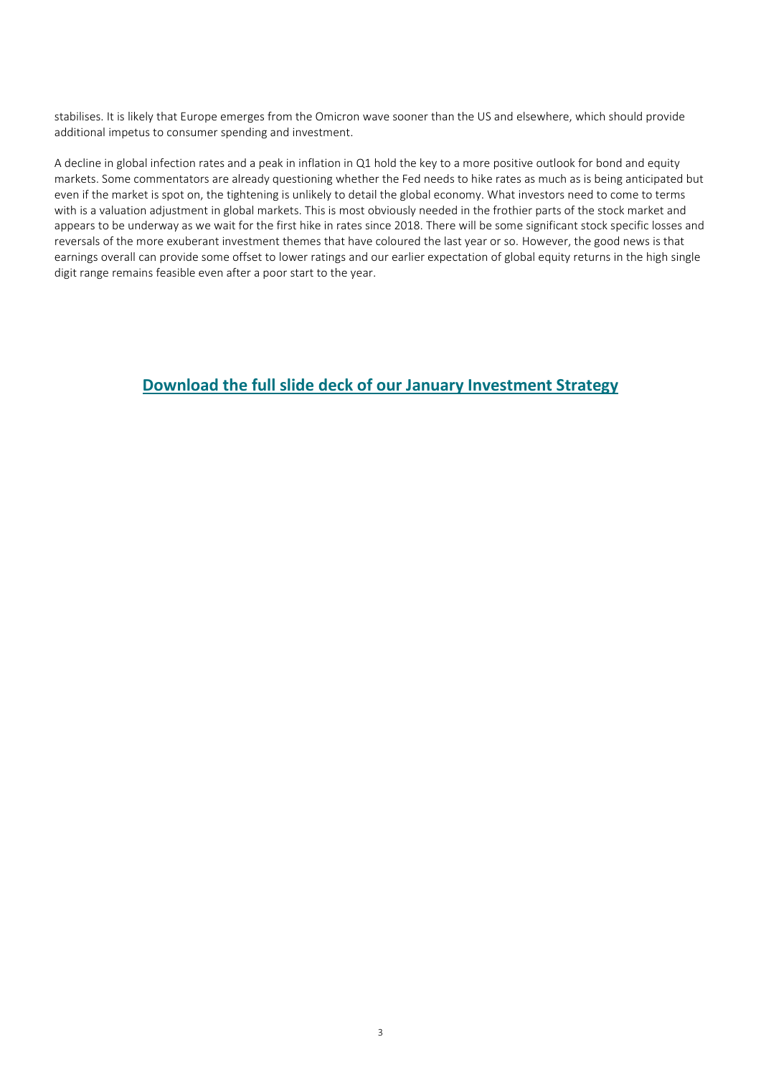stabilises. It is likely that Europe emerges from the Omicron wave sooner than the US and elsewhere, which should provide additional impetus to consumer spending and investment.

A decline in global infection rates and a peak in inflation in Q1 hold the key to a more positive outlook for bond and equity markets. Some commentators are already questioning whether the Fed needs to hike rates as much as is being anticipated but even if the market is spot on, the tightening is unlikely to detail the global economy. What investors need to come to terms with is a valuation adjustment in global markets. This is most obviously needed in the frothier parts of the stock market and appears to be underway as we wait for the first hike in rates since 2018. There will be some significant stock specific losses and reversals of the more exuberant investment themes that have coloured the last year or so. However, the good news is that earnings overall can provide some offset to lower ratings and our earlier expectation of global equity returns in the high single digit range remains feasible even after a poor start to the year.

### **[Download the full slide deck of our January](https://www.axa-im.com/sites/default/files/insight/pdf/axa-im-research-strategy-deck-en-2022-01_0.pdf) Investment Strategy**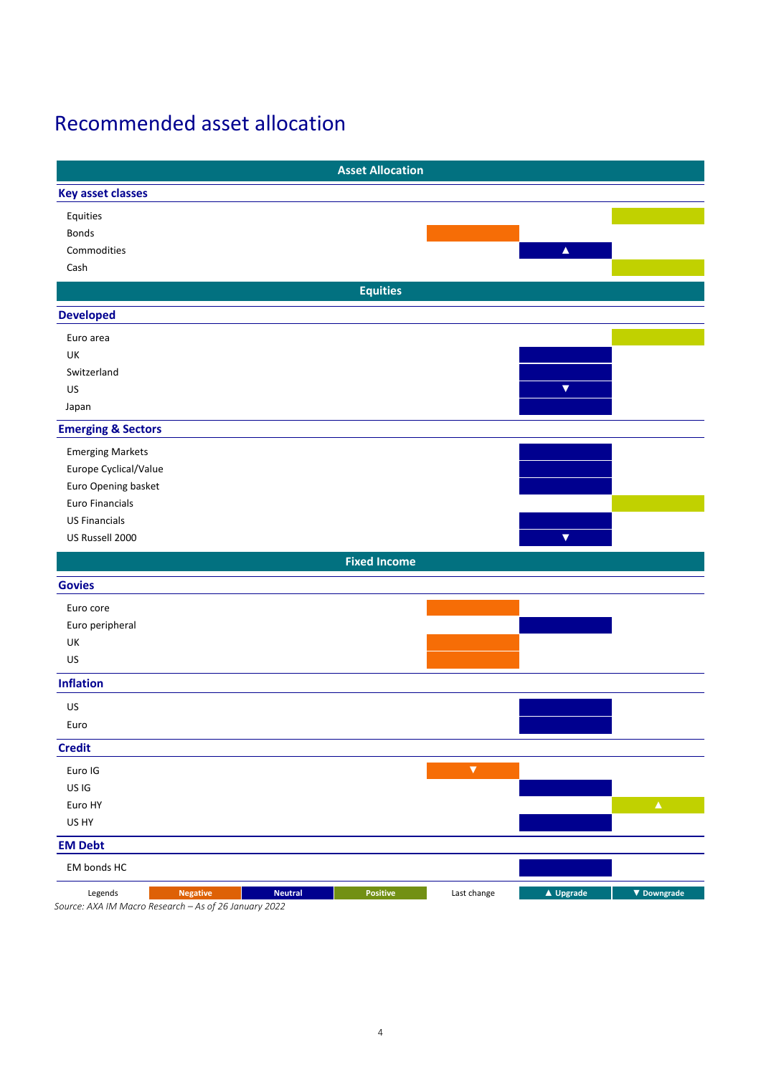### Recommended asset allocation

|                                                                                                       | <b>Asset Allocation</b>                                              |
|-------------------------------------------------------------------------------------------------------|----------------------------------------------------------------------|
| <b>Key asset classes</b>                                                                              |                                                                      |
| Equities                                                                                              |                                                                      |
| Bonds                                                                                                 |                                                                      |
| Commodities                                                                                           | $\blacktriangle$                                                     |
| Cash                                                                                                  |                                                                      |
|                                                                                                       | <b>Equities</b>                                                      |
| <b>Developed</b>                                                                                      |                                                                      |
| Euro area                                                                                             |                                                                      |
| UK                                                                                                    |                                                                      |
| Switzerland                                                                                           |                                                                      |
| US                                                                                                    | $\blacktriangledown$                                                 |
| Japan                                                                                                 |                                                                      |
| <b>Emerging &amp; Sectors</b>                                                                         |                                                                      |
| <b>Emerging Markets</b>                                                                               |                                                                      |
| Europe Cyclical/Value                                                                                 |                                                                      |
| Euro Opening basket                                                                                   |                                                                      |
| Euro Financials                                                                                       |                                                                      |
| <b>US Financials</b>                                                                                  |                                                                      |
| US Russell 2000                                                                                       | $\blacktriangledown$                                                 |
|                                                                                                       | <b>Fixed Income</b>                                                  |
| <b>Govies</b>                                                                                         |                                                                      |
| Euro core                                                                                             |                                                                      |
| Euro peripheral                                                                                       |                                                                      |
| UK                                                                                                    |                                                                      |
| US                                                                                                    |                                                                      |
| <b>Inflation</b>                                                                                      |                                                                      |
| US                                                                                                    |                                                                      |
| Euro                                                                                                  |                                                                      |
| <b>Credit</b>                                                                                         |                                                                      |
| Euro IG                                                                                               | $\blacktriangledown$                                                 |
| US IG                                                                                                 |                                                                      |
| Euro HY                                                                                               | $\Delta_{\rm c}$                                                     |
| US HY                                                                                                 |                                                                      |
| <b>EM Debt</b>                                                                                        |                                                                      |
| EM bonds HC                                                                                           |                                                                      |
| Legends<br><b>Neutral</b><br><b>Negative</b><br>Source: AXA IM Macro Research - As of 26 January 2022 | <b>Positive</b><br>Last change<br>$\triangle$ Upgrade<br>▼ Downgrade |

*Source: AXA IM Macro Research – As of 26 January 2022*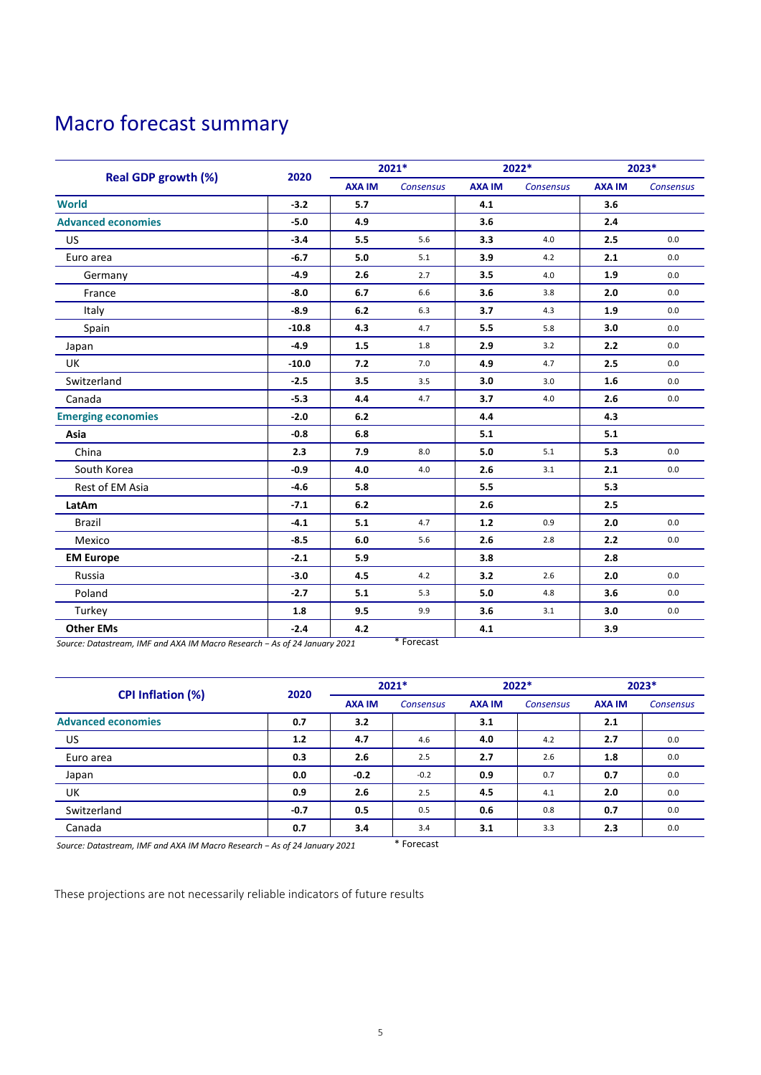### Macro forecast summary

|                            | 2020    | 2021*         |                  | 2022*         |                  | 2023*         |                  |
|----------------------------|---------|---------------|------------------|---------------|------------------|---------------|------------------|
| <b>Real GDP growth (%)</b> |         | <b>AXA IM</b> | <b>Consensus</b> | <b>AXA IM</b> | <b>Consensus</b> | <b>AXA IM</b> | <b>Consensus</b> |
| <b>World</b>               | $-3.2$  | 5.7           |                  | 4.1           |                  | 3.6           |                  |
| <b>Advanced economies</b>  | $-5.0$  | 4.9           |                  | 3.6           |                  | 2.4           |                  |
| <b>US</b>                  | $-3.4$  | 5.5           | 5.6              | 3.3           | 4.0              | 2.5           | 0.0              |
| Euro area                  | $-6.7$  | 5.0           | 5.1              | 3.9           | 4.2              | 2.1           | 0.0              |
| Germany                    | $-4.9$  | 2.6           | 2.7              | 3.5           | 4.0              | 1.9           | 0.0              |
| France                     | $-8.0$  | 6.7           | 6.6              | 3.6           | 3.8              | 2.0           | 0.0              |
| Italy                      | $-8.9$  | 6.2           | 6.3              | 3.7           | 4.3              | 1.9           | 0.0              |
| Spain                      | $-10.8$ | 4.3           | 4.7              | 5.5           | 5.8              | 3.0           | 0.0              |
| Japan                      | $-4.9$  | 1.5           | 1.8              | 2.9           | 3.2              | 2.2           | 0.0              |
| UK                         | $-10.0$ | 7.2           | 7.0              | 4.9           | 4.7              | 2.5           | 0.0              |
| Switzerland                | $-2.5$  | 3.5           | 3.5              | 3.0           | 3.0              | 1.6           | 0.0              |
| Canada                     | $-5.3$  | 4.4           | 4.7              | 3.7           | 4.0              | 2.6           | $0.0\,$          |
| <b>Emerging economies</b>  | $-2.0$  | 6.2           |                  | 4.4           |                  | 4.3           |                  |
| Asia                       | $-0.8$  | 6.8           |                  | 5.1           |                  | 5.1           |                  |
| China                      | 2.3     | 7.9           | 8.0              | 5.0           | 5.1              | 5.3           | 0.0              |
| South Korea                | $-0.9$  | 4.0           | 4.0              | 2.6           | 3.1              | 2.1           | 0.0              |
| Rest of EM Asia            | $-4.6$  | 5.8           |                  | 5.5           |                  | 5.3           |                  |
| LatAm                      | $-7.1$  | 6.2           |                  | 2.6           |                  | 2.5           |                  |
| <b>Brazil</b>              | $-4.1$  | 5.1           | 4.7              | $1.2$         | 0.9              | 2.0           | 0.0              |
| Mexico                     | $-8.5$  | 6.0           | 5.6              | 2.6           | 2.8              | 2.2           | 0.0              |
| <b>EM Europe</b>           | $-2.1$  | 5.9           |                  | 3.8           |                  | 2.8           |                  |
| Russia                     | $-3.0$  | 4.5           | 4.2              | 3.2           | 2.6              | 2.0           | 0.0              |
| Poland                     | $-2.7$  | 5.1           | 5.3              | 5.0           | 4.8              | 3.6           | 0.0              |
| Turkey                     | 1.8     | 9.5           | 9.9              | 3.6           | 3.1              | 3.0           | 0.0              |
| <b>Other EMs</b>           | $-2.4$  | 4.2           |                  | 4.1           |                  | 3.9           |                  |

*Source: Datastream, IMF and AXA IM Macro Research − As of 24 January 2021* \* Forecast

|                           | 2020   | $2021*$       |           | 2022*         |                  | $2023*$       |                  |
|---------------------------|--------|---------------|-----------|---------------|------------------|---------------|------------------|
| <b>CPI Inflation (%)</b>  |        | <b>AXA IM</b> | Consensus | <b>AXA IM</b> | <b>Consensus</b> | <b>AXA IM</b> | <b>Consensus</b> |
| <b>Advanced economies</b> | 0.7    | 3.2           |           | 3.1           |                  | 2.1           |                  |
| US.                       | 1.2    | 4.7           | 4.6       | 4.0           | 4.2              | 2.7           | 0.0              |
| Euro area                 | 0.3    | 2.6           | 2.5       | 2.7           | 2.6              | 1.8           | 0.0              |
| Japan                     | 0.0    | $-0.2$        | $-0.2$    | 0.9           | 0.7              | 0.7           | 0.0              |
| UK                        | 0.9    | 2.6           | 2.5       | 4.5           | 4.1              | 2.0           | 0.0              |
| Switzerland               | $-0.7$ | 0.5           | 0.5       | 0.6           | 0.8              | 0.7           | 0.0              |
| Canada                    | 0.7    | 3.4           | 3.4       | 3.1           | 3.3              | 2.3           | 0.0              |

*Source: Datastream, IMF and AXA IM Macro Research − As of 24 January 2021* \* Forecast

These projections are not necessarily reliable indicators of future results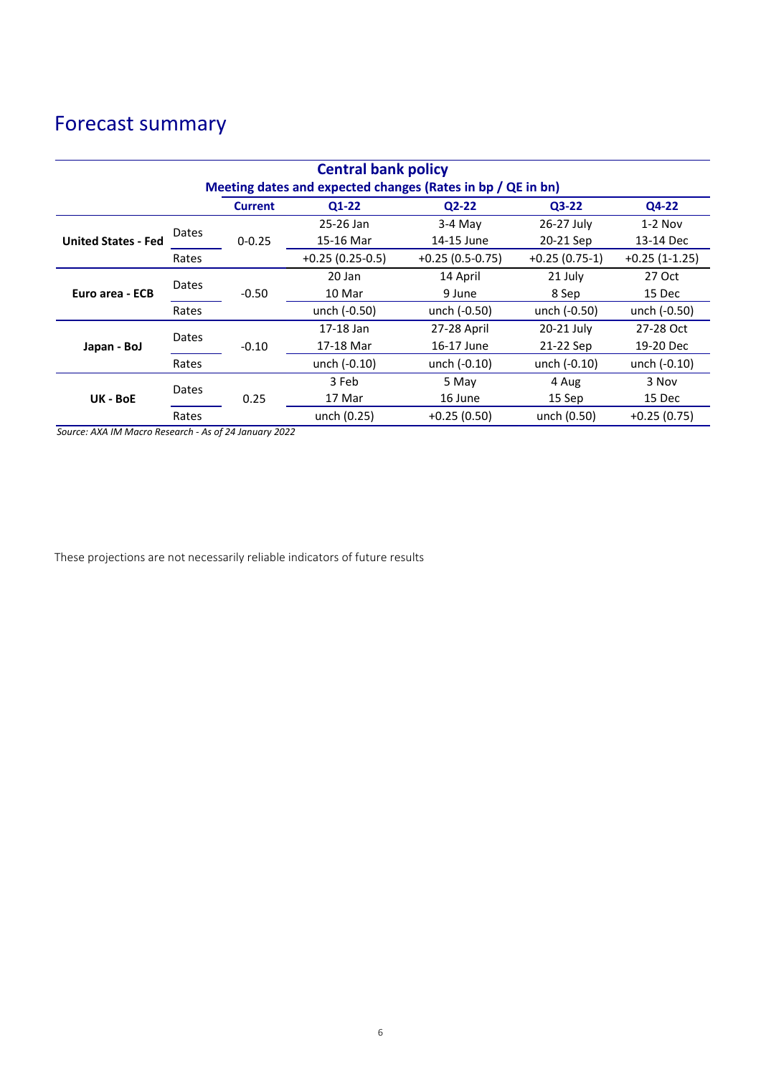## Forecast summary

| <b>Central bank policy</b>                                  |       |                |                   |                   |                 |                 |  |  |  |  |
|-------------------------------------------------------------|-------|----------------|-------------------|-------------------|-----------------|-----------------|--|--|--|--|
| Meeting dates and expected changes (Rates in bp / QE in bn) |       |                |                   |                   |                 |                 |  |  |  |  |
|                                                             |       | <b>Current</b> | $Q1-22$           | $Q2-22$           | $Q3-22$         | Q4-22           |  |  |  |  |
| <b>United States - Fed</b>                                  | Dates |                | 25-26 Jan         | $3-4$ May         | 26-27 July      | $1-2$ Nov       |  |  |  |  |
|                                                             |       | $0 - 0.25$     | 15-16 Mar         | 14-15 June        | 20-21 Sep       | 13-14 Dec       |  |  |  |  |
|                                                             | Rates |                | $+0.25(0.25-0.5)$ | $+0.25(0.5-0.75)$ | $+0.25(0.75-1)$ | $+0.25(1-1.25)$ |  |  |  |  |
| Euro area - ECB                                             | Dates | $-0.50$        | 20 Jan            | 14 April          | 21 July         | 27 Oct          |  |  |  |  |
|                                                             |       |                | 10 Mar            | 9 June            | 8 Sep           | 15 Dec          |  |  |  |  |
|                                                             | Rates |                | unch (-0.50)      | unch (-0.50)      | unch (-0.50)    | unch (-0.50)    |  |  |  |  |
| Japan - BoJ                                                 | Dates |                | 17-18 Jan         | 27-28 April       | 20-21 July      | 27-28 Oct       |  |  |  |  |
|                                                             |       | $-0.10$        | 17-18 Mar         | 16-17 June        | 21-22 Sep       | 19-20 Dec       |  |  |  |  |
|                                                             | Rates |                | unch (-0.10)      | unch (-0.10)      | unch (-0.10)    |                 |  |  |  |  |
| UK - BoE                                                    | Dates | 0.25           | 3 Feb             | 5 May             | 4 Aug           | 3 Nov           |  |  |  |  |
|                                                             |       |                | 17 Mar            | 16 June           | 15 Sep          | 15 Dec          |  |  |  |  |
|                                                             | Rates |                | unch (0.25)       | $+0.25(0.50)$     | unch (0.50)     | $+0.25(0.75)$   |  |  |  |  |

*Source: AXA IM Macro Research - As of 24 January 2022*

These projections are not necessarily reliable indicators of future results